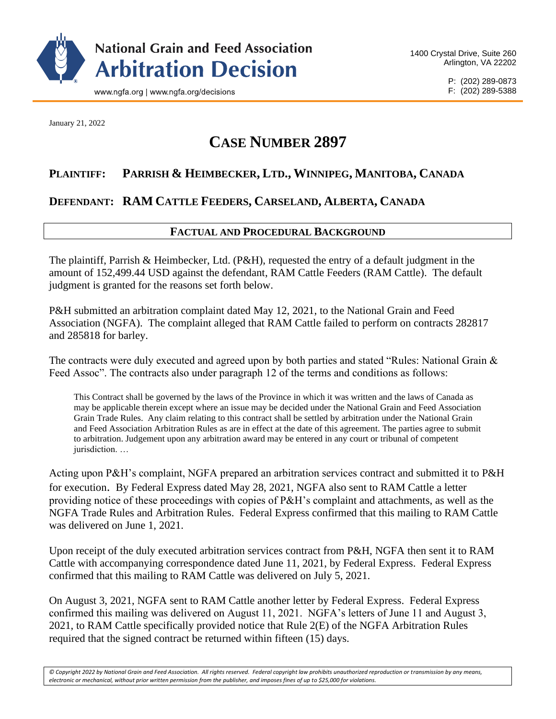

January 21, 2022

# **CASE NUMBER 2897**

# **PLAINTIFF: PARRISH & HEIMBECKER, LTD., WINNIPEG, MANITOBA, CANADA**

# **DEFENDANT: RAM CATTLE FEEDERS, CARSELAND, ALBERTA, CANADA**

## **FACTUAL AND PROCEDURAL BACKGROUND**

The plaintiff, Parrish & Heimbecker, Ltd. (P&H), requested the entry of a default judgment in the amount of 152,499.44 USD against the defendant, RAM Cattle Feeders (RAM Cattle). The default judgment is granted for the reasons set forth below.

P&H submitted an arbitration complaint dated May 12, 2021, to the National Grain and Feed Association (NGFA). The complaint alleged that RAM Cattle failed to perform on contracts 282817 and 285818 for barley.

The contracts were duly executed and agreed upon by both parties and stated "Rules: National Grain & Feed Assoc". The contracts also under paragraph 12 of the terms and conditions as follows:

This Contract shall be governed by the laws of the Province in which it was written and the laws of Canada as may be applicable therein except where an issue may be decided under the National Grain and Feed Association Grain Trade Rules. Any claim relating to this contract shall be settled by arbitration under the National Grain and Feed Association Arbitration Rules as are in effect at the date of this agreement. The parties agree to submit to arbitration. Judgement upon any arbitration award may be entered in any court or tribunal of competent jurisdiction. …

Acting upon P&H's complaint, NGFA prepared an arbitration services contract and submitted it to P&H for execution. By Federal Express dated May 28, 2021, NGFA also sent to RAM Cattle a letter providing notice of these proceedings with copies of P&H's complaint and attachments, as well as the NGFA Trade Rules and Arbitration Rules. Federal Express confirmed that this mailing to RAM Cattle was delivered on June 1, 2021.

Upon receipt of the duly executed arbitration services contract from P&H, NGFA then sent it to RAM Cattle with accompanying correspondence dated June 11, 2021, by Federal Express. Federal Express confirmed that this mailing to RAM Cattle was delivered on July 5, 2021.

On August 3, 2021, NGFA sent to RAM Cattle another letter by Federal Express. Federal Express confirmed this mailing was delivered on August 11, 2021. NGFA's letters of June 11 and August 3, 2021, to RAM Cattle specifically provided notice that Rule 2(E) of the NGFA Arbitration Rules required that the signed contract be returned within fifteen (15) days.

*© Copyright 2022 by National Grain and Feed Association. All rights reserved. Federal copyright law prohibits unauthorized reproduction or transmission by any means, electronic or mechanical, without prior written permission from the publisher, and imposes fines of up to \$25,000 for violations.*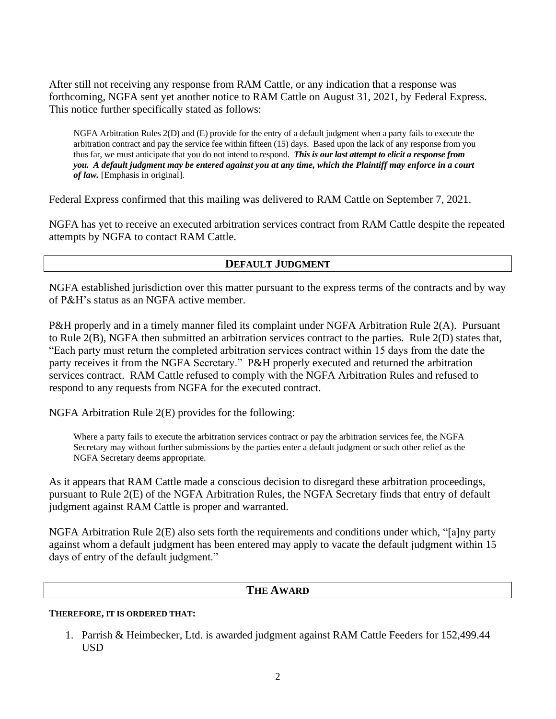After still not receiving any response from RAM Cattle, or any indication that a response was forthcoming, NGFA sent yet another notice to RAM Cattle on August 31, 2021, by Federal Express. This notice further specifically stated as follows:

NGFA Arbitration Rules 2(D) and (E) provide for the entry of a default judgment when a party fails to execute the arbitration contract and pay the service fee within fifteen (15) days. Based upon the lack of any response from you thus far, we must anticipate that you do not intend to respond. *This is our last attempt to elicit a response from you. A default judgment may be entered against you at any time, which the Plaintiff may enforce in a court of law.* [Emphasis in original].

Federal Express confirmed that this mailing was delivered to RAM Cattle on September 7, 2021.

NGFA has yet to receive an executed arbitration services contract from RAM Cattle despite the repeated attempts by NGFA to contact RAM Cattle.

## **DEFAULT JUDGMENT**

NGFA established jurisdiction over this matter pursuant to the express terms of the contracts and by way of P&H's status as an NGFA active member.

P&H properly and in a timely manner filed its complaint under NGFA Arbitration Rule 2(A). Pursuant to Rule 2(B), NGFA then submitted an arbitration services contract to the parties. Rule 2(D) states that, "Each party must return the completed arbitration services contract within 15 days from the date the party receives it from the NGFA Secretary." P&H properly executed and returned the arbitration services contract. RAM Cattle refused to comply with the NGFA Arbitration Rules and refused to respond to any requests from NGFA for the executed contract.

NGFA Arbitration Rule 2(E) provides for the following:

Where a party fails to execute the arbitration services contract or pay the arbitration services fee, the NGFA Secretary may without further submissions by the parties enter a default judgment or such other relief as the NGFA Secretary deems appropriate.

As it appears that RAM Cattle made a conscious decision to disregard these arbitration proceedings, pursuant to Rule 2(E) of the NGFA Arbitration Rules, the NGFA Secretary finds that entry of default judgment against RAM Cattle is proper and warranted.

NGFA Arbitration Rule 2(E) also sets forth the requirements and conditions under which, "[a]ny party against whom a default judgment has been entered may apply to vacate the default judgment within 15 days of entry of the default judgment."

## **THE AWARD**

## **THEREFORE, IT IS ORDERED THAT:**

1. Parrish & Heimbecker, Ltd. is awarded judgment against RAM Cattle Feeders for 152,499.44 USD